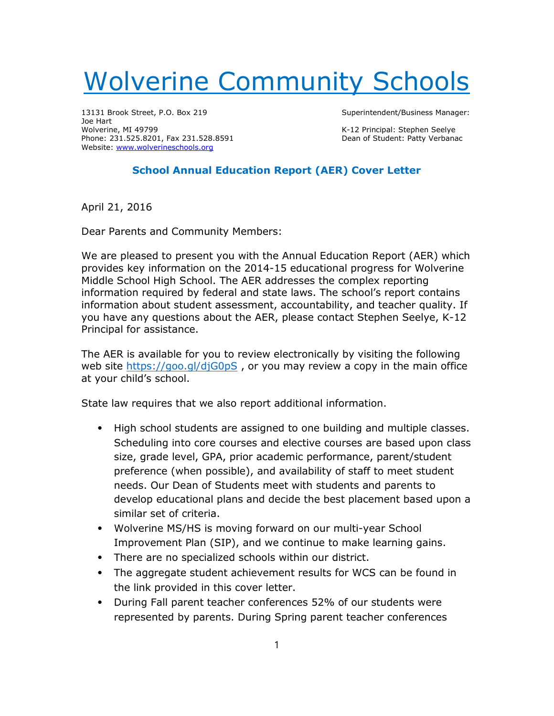## Wolverine Community Schools

13131 Brook Street, P.O. Box 219 Superintendent/Business Manager: Joe Hart Wolverine, MI 49799<br>
Phone: 231.525.8201, Fax 231.528.8591 Channel Student: Patty Verbanac Phone: 231.525.8201, Fax 231.528.8591 Website: www.wolverineschools.org

## School Annual Education Report (AER) Cover Letter

April 21, 2016

Dear Parents and Community Members:

We are pleased to present you with the Annual Education Report (AER) which provides key information on the 2014-15 educational progress for Wolverine Middle School High School. The AER addresses the complex reporting information required by federal and state laws. The school's report contains information about student assessment, accountability, and teacher quality. If you have any questions about the AER, please contact Stephen Seelye, K-12 Principal for assistance.

The AER is available for you to review electronically by visiting the following web site https://goo.gl/djG0pS, or you may review a copy in the main office at your child's school.

State law requires that we also report additional information.

- ⦁ High school students are assigned to one building and multiple classes. Scheduling into core courses and elective courses are based upon class size, grade level, GPA, prior academic performance, parent/student preference (when possible), and availability of staff to meet student needs. Our Dean of Students meet with students and parents to develop educational plans and decide the best placement based upon a similar set of criteria.
- ⦁ Wolverine MS/HS is moving forward on our multi-year School Improvement Plan (SIP), and we continue to make learning gains.
- ⦁ There are no specialized schools within our district.
- ⦁ The aggregate student achievement results for WCS can be found in the link provided in this cover letter.
- ⦁ During Fall parent teacher conferences 52% of our students were represented by parents. During Spring parent teacher conferences